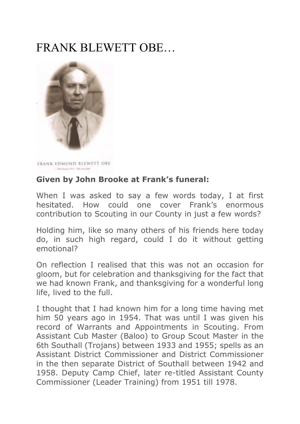# FRANK BLEWETT OBE…



FRANK EDMUND BLEWETT OBE . Pain January 1919 - 1930 June 2004

## **Given by John Brooke at Frank's funeral:**

When I was asked to say a few words today, I at first hesitated. How could one cover Frank's enormous contribution to Scouting in our County in just a few words?

Holding him, like so many others of his friends here today do, in such high regard, could I do it without getting emotional?

On reflection I realised that this was not an occasion for gloom, but for celebration and thanksgiving for the fact that we had known Frank, and thanksgiving for a wonderful long life, lived to the full.

I thought that I had known him for a long time having met him 50 years ago in 1954. That was until I was given his record of Warrants and Appointments in Scouting. From Assistant Cub Master (Baloo) to Group Scout Master in the 6th Southall (Trojans) between 1933 and 1955; spells as an Assistant District Commissioner and District Commissioner in the then separate District of Southall between 1942 and 1958. Deputy Camp Chief, later re-titled Assistant County Commissioner (Leader Training) from 1951 till 1978.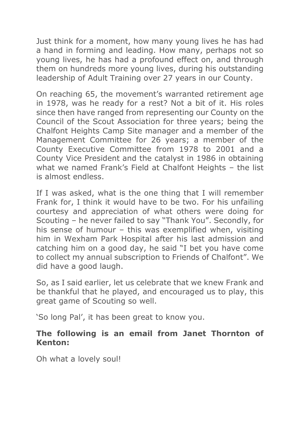Just think for a moment, how many young lives he has had a hand in forming and leading. How many, perhaps not so young lives, he has had a profound effect on, and through them on hundreds more young lives, during his outstanding leadership of Adult Training over 27 years in our County.

On reaching 65, the movement's warranted retirement age in 1978, was he ready for a rest? Not a bit of it. His roles since then have ranged from representing our County on the Council of the Scout Association for three years; being the Chalfont Heights Camp Site manager and a member of the Management Committee for 26 years; a member of the County Executive Committee from 1978 to 2001 and a County Vice President and the catalyst in 1986 in obtaining what we named Frank's Field at Chalfont Heights – the list is almost endless.

If I was asked, what is the one thing that I will remember Frank for, I think it would have to be two. For his unfailing courtesy and appreciation of what others were doing for Scouting – he never failed to say "Thank You". Secondly, for his sense of humour – this was exemplified when, visiting him in Wexham Park Hospital after his last admission and catching him on a good day, he said "I bet you have come to collect my annual subscription to Friends of Chalfont". We did have a good laugh.

So, as I said earlier, let us celebrate that we knew Frank and be thankful that he played, and encouraged us to play, this great game of Scouting so well.

'So long Pal', it has been great to know you.

### **The following is an email from Janet Thornton of Kenton:**

Oh what a lovely soul!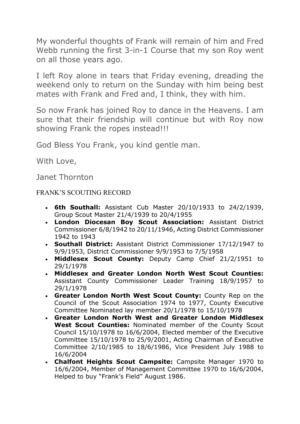My wonderful thoughts of Frank will remain of him and Fred Webb running the first 3-in-1 Course that my son Roy went on all those years ago.

I left Roy alone in tears that Friday evening, dreading the weekend only to return on the Sunday with him being best mates with Frank and Fred and, I think, they with him.

So now Frank has joined Roy to dance in the Heavens. I am sure that their friendship will continue but with Roy now showing Frank the ropes instead!!!

God Bless You Frank, you kind gentle man.

With Love,

Janet Thornton

#### FRANK'S SCOUTING RECORD

- **6th Southall:** Assistant Cub Master 20/10/1933 to 24/2/1939, Group Scout Master 21/4/1939 to 20/4/1955
- **London Diocesan Boy Scout Association:** Assistant District Commissioner 6/8/1942 to 20/11/1946, Acting District Commissioner 1942 to 1943
- **Southall District:** Assistant District Commissioner 17/12/1947 to 9/9/1953, District Commissioner 9/9/1953 to 7/5/1958
- **Middlesex Scout County:** Deputy Camp Chief 21/2/1951 to 29/1/1978
- **Middlesex and Greater London North West Scout Counties:** Assistant County Commissioner Leader Training 18/9/1957 to 29/1/1978
- **Greater London North West Scout County:** County Rep on the Council of the Scout Association 1974 to 1977, County Executive Committee Nominated lay member 20/1/1978 to 15/10/1978
- **Greater London North West and Greater London Middlesex West Scout Counties:** Nominated member of the County Scout Council 15/10/1978 to 16/6/2004, Elected member of the Executive Committee 15/10/1978 to 25/9/2001, Acting Chairman of Executive Committee 2/10/1985 to 18/6/1986, Vice President July 1988 to 16/6/2004
- **Chalfont Heights Scout Campsite:** Campsite Manager 1970 to 16/6/2004, Member of Management Committee 1970 to 16/6/2004, Helped to buy "Frank's Field" August 1986.